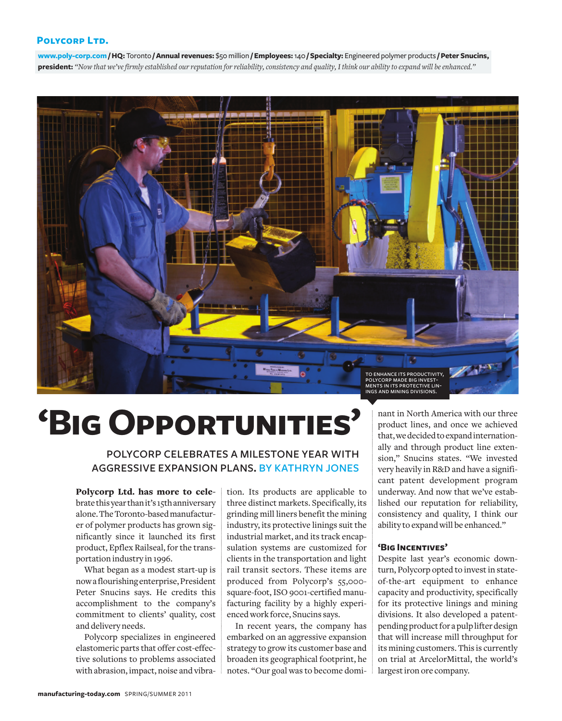### **Polycorp Ltd.**

**www.poly-corp.com /HQ:** Toronto **/ Annual revenues:** \$50million **/ Employees:**140 **/ Specialty:** Engineered polymer products **/ Peter Snucins,** president: "Now that we've firmly established our reputation for reliability, consistency and quality, I think our ability to expand will be enhanced."



# **'BigOpportunities'**

POLYCORP CELEBRATES A MILESTONE YEAR WITH AGGRESSIVE EXPANSION PLANS. BY KATHRYN JONES

**Polycorp Ltd. has more to cele**bratethisyearthanit's 15thanniversary alone. The Toronto-based manufacturer of polymer products has grown significantly since it launched its first product, Epflex Railseal, for the transportation industry in 1996.

What began as a modest start-up is nowa flourishingenterprise,President Peter Snucins says. He credits this accomplishment to the company's commitment to clients' quality, cost and delivery needs.

Polycorp specializes in engineered elastomeric parts that offer cost-effective solutions to problems associated with abrasion, impact, noise and vibration. Its products are applicable to three distinct markets. Specifically, its grinding mill liners benefit the mining industry, its protective linings suit the industrial market, and its track encapsulation systems are customized for clients in the transportation and light rail transit sectors. These items are produced from Polycorp's 55,000 square-foot,ISO 9001-certified manufacturing facility by a highly experiencedwork force, Snucins says.

In recent years, the company has embarked on an aggressive expansion strategy to growits customer base and broaden its geographical footprint, he notes. "Our goal was to become dominant in North America with our three product lines, and once we achieved that,wedecidedtoexpandinternationally and through product line extension," Snucins states. "We invested very heavily in R&D and have a significant patent development program underway. And now that we've established our reputation for reliability, consistency and quality, I think our ability to expandwill be enhanced."

#### **'Big Incentives'**

Despite last year's economic downturn, Polycorp opted to invest in stateof-the-art equipment to enhance capacity and productivity, specifically for its protective linings and mining divisions. It also developed a patentpending product for a pulp lifter design that will increase mill throughput for its mining customers. This is currently on trial at ArcelorMittal, the world's largest iron ore company.